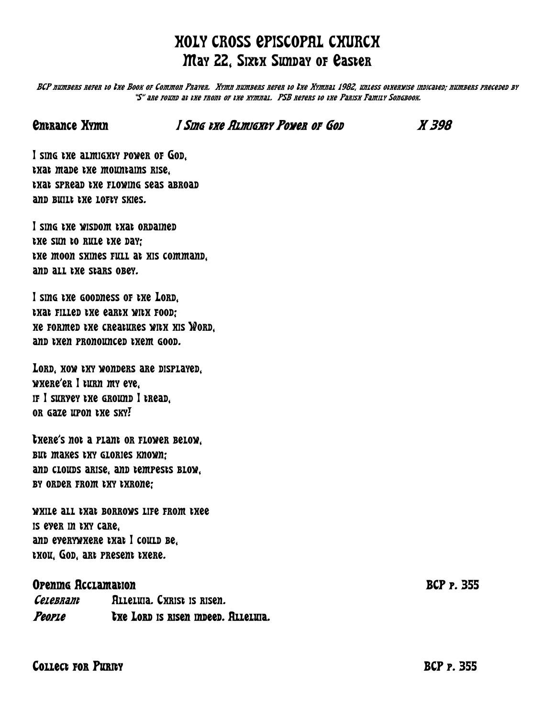# HOLY CROSS EPISCOPAL CHURCH May 22, Sixth Sunday of Easter

BCP numbers refer to The Book of Common Prayer. Hymn numbers refer to The Hymnal 1982, unless otherwise indicated; numbers preceded by "S" are found at the front of the hymnal. PSB refers to the Parish Family Songbook.

## Entrance Hymn I Sing the Almighty Power of God H 398

I sing the almighty power of God. that made the mountains Rise. that spread the flowing seas abroad and built the lofty skies.

I sing the wispom that ordained the sun to rule the pay: the moon shines full at his command. and all the stars obey.

I sing the goodness of the Lord. that filled the earth with food; he formed the creatures with his Word, and then pronounced them good.

LORD, HOW THY WONDERS are DISPLAYED. where'er I turn my eye, if I survey the ground I tread, or gaze upon the sky!

there's not a plant or flower below. but makes thy glories known; and clouds arise, and tempests blow, by order from thy throne;

while all that borrows life from thee is ever in thy care, and everywhere that I could be, thou, God, art present there.

### **Opening Acclamation** BCP p. 355

Celebrant Rileluia. Christ is risen. People The Lord is risen indeed. Alleluia.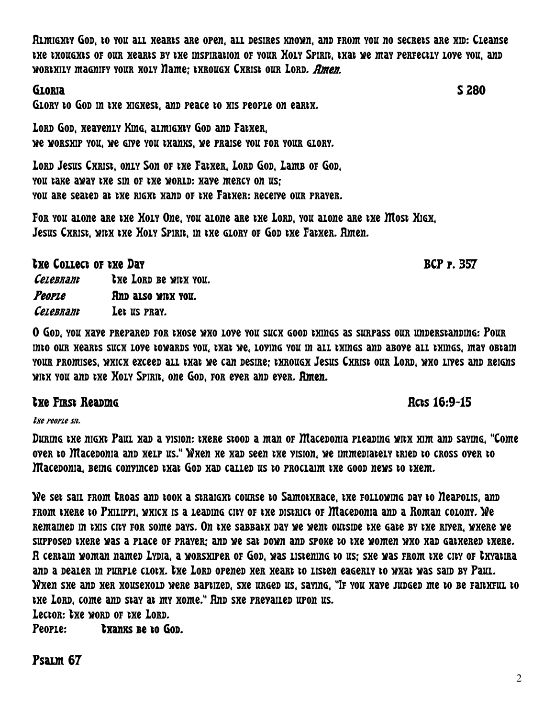Almighty God, to you all hearts are open, all desires known, and from you no secrets are hid: Cleanse the thoughts of our hearts by the inspiration of your Holy Spirit, that we may perfectly love you, and worthily magnify your holy Name; through Christ our Lord. Amen.

GLORY to GOD in the highest, and peace to his people on earth.

Lord God, heavenly King, almighty God and Father, we worship you, we give you thanks, we praise you for your glory.

Lord Jesus Cxrist, only Son of the Father, Lord God, Lamb of God, you take away the sin of the world: have mercy on us; you are seated at the right hand of the Father: receive our prayer.

For you alone are the Holy One, you alone are the Lord, you alone are the Most High, Jesus Cxrist, with the Holy Spirit, in the glory of God the Father. Amen.

## The Collect of the Day BCP p. 357

Celebrant the Lord be with you.

People And also with you. Celebrant Let us pray.

O God, you have prepared for those who love you such good things as surpass our understanding: Pour into our hearts such love towards you, that we, loving you in all things and above all things, may obtain your promises, which exceed all that we can desire; through Jesus Christ our Lord, who lives and reigns with you and the Holy Spirit, one God, for ever and ever. **Amen.** 

## **The First Reading Acts 16:9-15** The First Reading Acts 16:9-15

#### the people sit.

During the night Paul had a vision: there stood a man of Macedonia pleading with him and saying, "Come over to Macedonia and help us." When he had seen the vision, we immediately tried to cross over to Macedonia, being convinced that God had called us to proclaim the good news to them.

We set sail from troas and took a straight course to Samothrace, the following day to Neapolis, and from there to Philippi, which is a leading city of the district of Macedonia and a Roman colony. We remained in this city for some days. On the sabbath day we went outside the gate by the river, where we supposed there was a place of prayer; and we sat down and spoke to the women who had gathered there. A certain woman named Lydia, a worshiper of God, was listening to us; she was from the city of Thyatira and a dealer in purple cloth. The Lord opened her heart to listen eagerly to what was said by Paul. When she and her household were baptized, she urged us, saying, "If you have judged me to be faithful to the Lord, come and stay at my nome." And she prevailed upon us. Lector: the word of the Lord.

People: **Chanks be to God.** ŋ

## Psalm 67

# 2

## Gloria S 280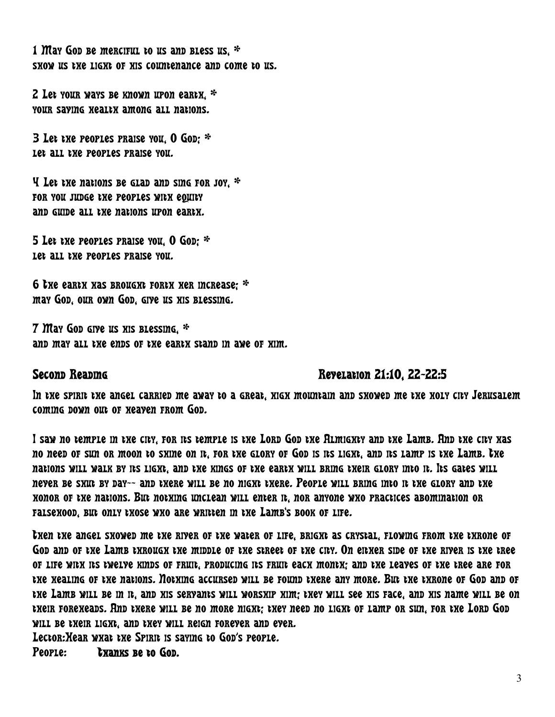1 May God be merciful to us and bless us, \* show us the light of his countenance and come to us.

2 Let your ways be known upon earth,  $*$ your saving health among all nations.

3 Let the peoples praise you, O God; \* let all the peoples praise you.

4 Let the nations be glad and sing for joy, \* FOR YOU JUDGE THE PEOPLES WITH EQUITY and guide all the nations upon earth.

5 Let the peoples praise you, O God; \* let all the peoples praise you.

6 the earth has brought forth her increase:  $*$ may God, our own God, give us his blessing.

7 May God give us his blessing, \* and may all the ends of the earth stand in awe of him.

## Second Reading Revelation 21:10, 22-22:5

In the spirit the angel carried me away to a great, high mountain and showed me the holy city Jerusalem coming down out of xeaven from God.

I saw no temple in the city, for its temple is the Lord God the Almighty and the Lamb. And the city has no need of sun or moon to shine on it, for the glory of God is its light, and its lamp is the Lamb. The nations will walk by its light, and the kings of the earth will bring their glory into it. Its gates will never be skut by day-- and there will be no night there. People will bring into it the glory and the honor of the nations. But nothing unclean will enter it, nor anyone who practices abomination or falsehood, but only those who are written in the Lamb's book of life.

Then the angel showed me the river of the water of life, bright as crystal, flowing from the throne of God and of the Lamb through the middle of the street of the city. On either side of the river is the tree of life with its twelve kinds of fruit, producing its fruit each month; and the leaves of the tree are for the healing of the nations. Nothing accursed will be found there any more. But the throne of God and of the Lamb will be in it, and his servants will worship him; they will see his face, and his name will be on their foreheads. And there will be no more night; they need no light of lamp or sun, for the Lord God will be their light, and they will reign forever and ever.

Lector: Hear what the Spirit is saying to God's people.

People: **Chanks be to God.**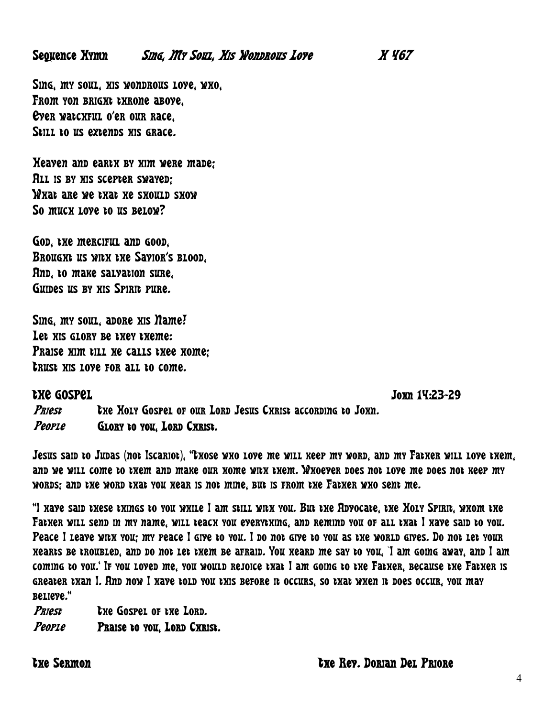### Sequence Hymn Sing, My Soul, His Wondrous Love H 467

Sing, my soul, his wondrous love, who, From yon bright throne above. Ever watchful o'er our race, Still to us extends his grace.

Heaven and earth by him were made; All is by his scepter swayed; What are we that he should show So mucy love to us below?

God, the merciful and good, BROUGHT US WITH THE SAVIOR'S BLOOD. And, to make salvation sure, Guides us by his Spirit pure.

Sing, my soul, adore his Name! Let **HIS GLORY BE they theme:** Praise him till he calls thee nome: trust his love for all to come.

THE GOSPEL John 14:23-29

Priest The Holy Gospel of our Lord Jesus Cxrist according to Joxn. People Glory to you, Lord Cxrist.

Jesus said to Judas (not Iscariot), "Those who love me will keep my word, and my Father will love them, and we will come to txem and make our home with them. Whoever does not love me does not keep my words; and the word that you hear is not mine, but is from the Father who sent me.

"I have said these things to you while I am still with you. But the Advocate, the Holy Spirit, whom the Father will send in my name, will teach you everything, and remind you of all that I have said to you. Peace I leave with you; my peace I give to you. I do not give to you as the world gives. Do not let your hearts be troubled, and do not let them be afraid. You heard me say to you, `I am going away, and I am coming to you.' If you loved me, you would rejoice that I am going to the Father, because the Father is greater than I. And now I have told you this before it occurs, so that when it does occur, you may believe."

Priest the Gospel of the Lord.

People Praise to you, Lord Cxrist.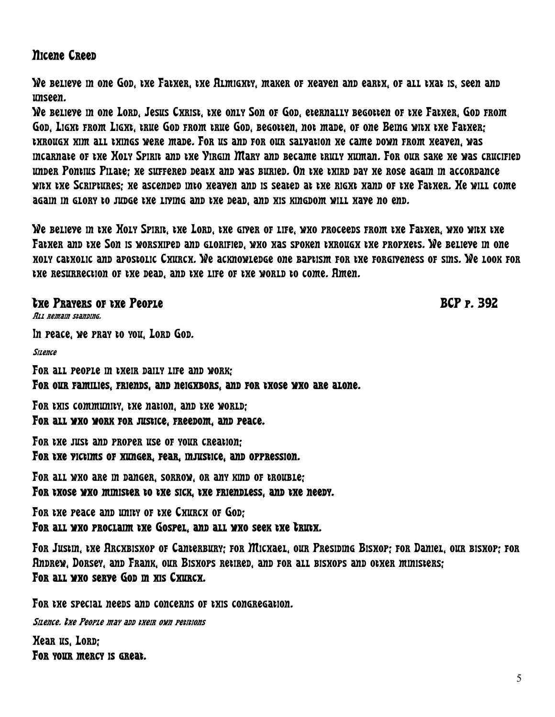## Nicene Creed

We believe in one God, the Father, the Almighty, maker of heaven and earth, of all that is, seen and unseen.

We believe in one Lord, Jesus Cxrist, the only Son of God, eternally begotten of the Father, God from God, Light from Light, true God from true God, begotten, not made, of one Being with the Father; through him all things were made. For us and for our salvation he came down from heaven, was incarnate of the Holy Spirit and the Virgin Mary and became truly human. For our sake he was crucified under Pontius Pilate; he suffered death and was buried. On the third day he rose again in accordance with the Scriptures; he ascended into heaven and is seated at the right hand of the Father. He will come again in glory to judge the living and the dead, and his kingdom will have no end.

We believe in the Holy Spirit, the Lord, the giver of life, who proceeds from the Father, who with the Father and the Son is worshiped and glorified, who has spoken through the prophets. We believe in one holy catholic and apostolic Church. We acknowledge one baptism for the forgiveness of sins. We look for the resurrection of the dead, and the life of the world to come. Amen.

### The Prayers of the People BCP p. 392

All remain standing.

In peace, we pray to you, Lord God.

Silence

For all people in their daily life and work:

For our families, friends, and neighbors, and for those who are alone.

For this community, the nation, and the world; For all who work for justice, freedom, and peace.

For the just and proper use of your creation;

For the victims of hunger, fear, injustice, and oppression.

For all who are in danger, sorrow, or any kind of trouble; For those who minister to the sick, the friendless, and the needy.

For the peace and unity of the Church of God;

For all who proclaim the Gospel, and all who seek the Cruth.

For Justin, the Archbishop of Canterbury; for Michael, our Presiding Bishop; for Daniel, our bishop; for Andrew, Dorsey, and Frank, our Bishops retired, and for all bishops and other ministers; For all who serve God in his Church.

For the special needs and concerns of this congregation.

Sitence. the People may ann their own petitions

Hear us, Lord; For your mercy is great.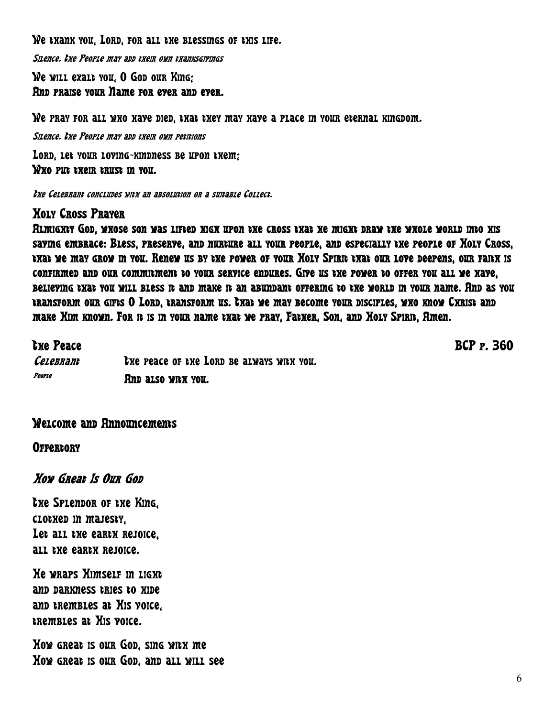We thank you, Lord, for all the blessings of this life.

Silence. the People may app their own thanksgivings

We will exalt you, O God our King; And praise your Name for ever and ever.

We pray for all who have died, that they may have a place in your eternal kingdom.

Sitence. the People may app their own petitions

Lord, let your loying-kindness be upon them;

Who put their trust in you.

Exe Celebrant concludes with an absolution or a suitable Collect.

#### Holy Cross Prayer

Almighty God, whose son was lifted high upon the cross that he might draw the whole world into his saving embrace: Bless, preserve, and nurture all your people, and especially the people of Holy Cross, that we may grow in you. Renew us by the power of your Holy Spirit that our love deepens, our faith is confirmed and our commitment to your service endures. Give us the power to offer you all we have, believing that you will bless it and make it an abundant offering to the world in your name. And as you transform our gifts O Lord, transform us. That we may become your disciples, who know Christ and make Him known. For it is in your name that we pray, Father, Son, and Holy Spirit, Amen.

### Figure 2012 and the Peace BCP p. 360

| Celebrant | the peace of the LORD Be always with you. |
|-----------|-------------------------------------------|
| People    | Rnd also with you.                        |

#### Welcome and Announcements

#### **OFFEREORY**

### How Great Is Our God

the Splendor of the King. clothed in majesty, Let all the earth rejoice. all the earth rejoice.

He wraps Himself in light and darkness tries to kide and trembles at His voice, trembles at His voice.

How great is our God, sing with me How great is our God, and all will see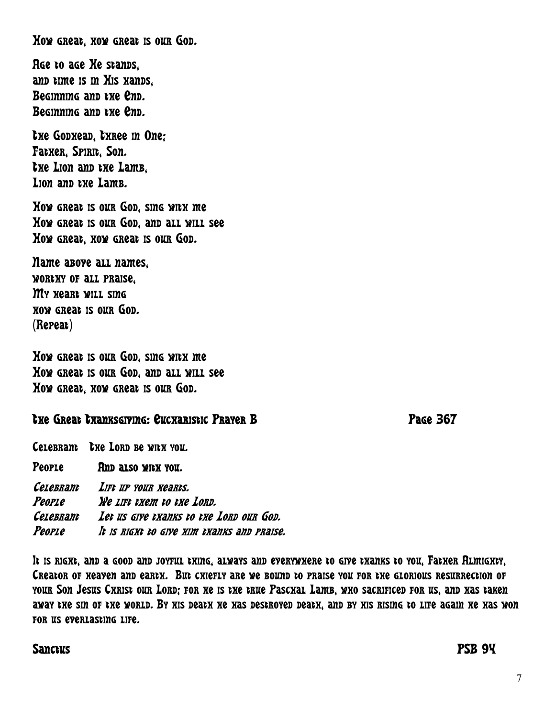How great, how great is our God.

Age to age He stands, and time is in His xands. Beginning and the End. Beginning and the End.

txe Godxead, txree in One; Father, Spirit, Son. the Lion and the Lamb. Lion and the Lamb.

How great is our God, sing with me How great is our God, and all will see How great, how great is our God.

Name above all names, worthy of all praise, My heart will sing how great is our God. (Repeat)

How great is our God, sing with me How great is our God, and all will see How great, how great is our God.

### **The Great Thanksgiving: Eucharistic Prayer B Page 967**

Celebrant the Lord be with you.

People And also with you. Celebrant Lift up your *xearts*. People We lift them to the Lord.

Celebrant Let us give thanks to the Lord our God.

People It is right to give him thanks and praise.

It is right, and a good and joyful thing, always and everywhere to give thanks to you, Father Almighty, Creator of heaven and earth. But chiefly are we bound to praise you for the glorious resurrection of your Son Jesus Christ our Lord; for he is the true Paschal Lamb, who sacrificed for us, and has taken away the sin of the world. By his death he has destroyed death, and by his rising to life again he has won for us everlasting life.

Sanctus PSB 94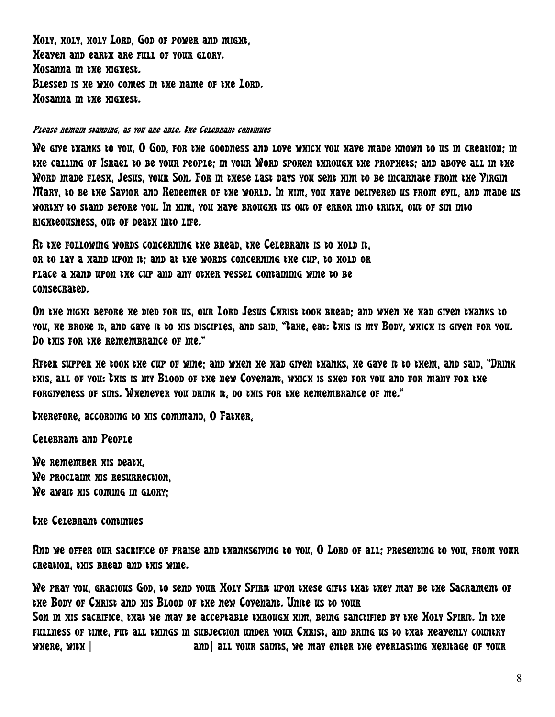Holy, holy, holy Lord, God of power and might, Heaven and earth are full of your glory. Hosanna in the highest. Blessed is he who comes in the name of the Lord. Hosanna in the highest.

#### Please remain standing, as you are able. the Celebrant continues

We give thanks to you, O God, for the goodness and love which you have made known to us in creation; in the calling of Israel to be your people; in your Word spoken through the prophets; and above all in the Word made flesh, Jesus, your Son. For in these last days you sent him to be incarnate from the Virgin Mary, to be the Savior and Redeemer of the world. In him, you have delivered us from evil, and made us worthy to stand before you. In him, you have brought us out of error into truth, out of sin into righteousness, out of death into life.

At the following words concerning the bread, the Celebrant is to hold it, or to lay a hand upon it; and at the words concerning the cup, to hold or place a hand upon the cup and any other vessel containing wine to be consecrated.

On the night before he died for us, our Lord Jesus Christ took bread; and when he had given thanks to you, he broke it, and gave it to his disciples, and said, "Take, eat: This is my Body, which is given for you. Do this for the remembrance of me."

After supper he took the cup of wine; and when he had given thanks, he gave it to them, and said, "Drink this, all of you: this is my Blood of the new Covenant, which is shed for you and for many for the forgiveness of sins. Whenever you drink it, do this for the remembrance of me."

therefore, according to his command, O Father,

Celebrant and People

We remember his death. We proclaim his resurrection. We await his coming in glory;

the Celebrant continues

And we offer our sacrifice of praise and thanksgiving to you, O Lord of all; presenting to you, from your creation, this bread and this wine.

We pray you, gracious God, to send your Holy Spirit upon these gifts that they may be the Sacrament of the Body of Cxrist and his Blood of the new Covenant. Unite us to your Son in his sacrifice, that we may be acceptable through him, being sanctified by the Holy Spirit. In the fullness of time, put all things in subjection under your Christ, and bring us to that heavenly country where, with [ and] all your saints, we may enter the everlasting heritage of your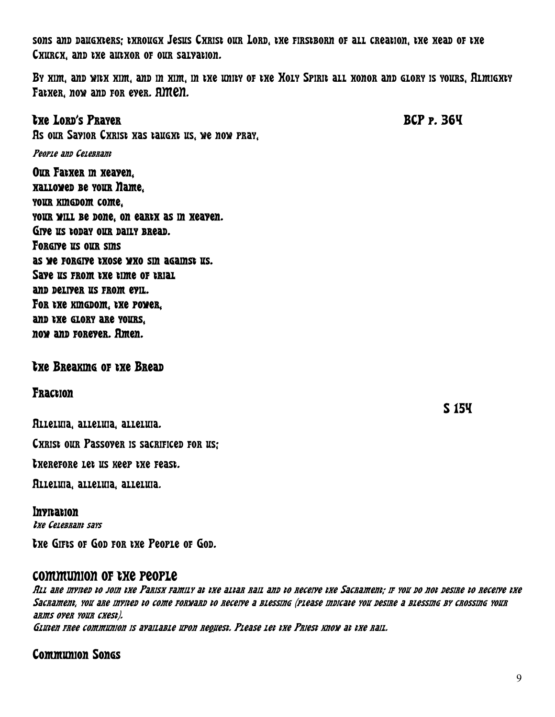sons and daugkters; through Jesus Christ our Lord, the firstborn of all creation, the head of the CHURCH, and the author of our salvation.

By kim, and with him, and in him, in the unity of the Holy Spirit all honor and glory is yours, Almighty Father, now and for ever. AMEN.

#### **The Lord's Prayer BCP p. 364**

As our Savior Christ has taught us, we now pray,

People and Celebrant

OUR Father in *xeaven*. hallowed be your Name, your kingdom come, your will be done, on earth as in heaven. Give us today our daily bread. Forgive us our sins as we forgive those who sin against us. Save us **from the time of trial** and deliver us from evil. For the kingdom, the power, and the glory are yours, now and forever. Amen.

## the Breaking of the Bread

### Fraction

Alleluia, alleluia, alleluia.

CHRIST OUR PASSOVER IS SACRIFICED FOR US:

therefore let us keep the feast.

Alleluia, alleluia, alleluia.

#### **Invitation**

the Celebrant says

the Gifts of God for the People of God.

### COMMUNION OF THE PEOPLE

All are invited to join the Parish family at the altar rail and to receive the Sacrament; if you do not desire to receive the Sacrament, you are invited to come forward to receive a blessing (please indicate you desire a blessing by crossing your arms over your chest).

Gluten free communion is available upon request. Please let the Priest know at the rail.

## Communion Songs

S 154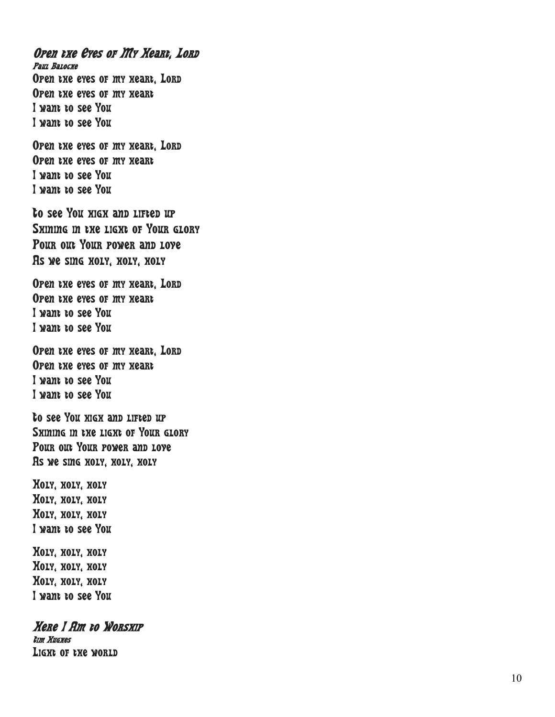#### Open the eyes of My Heart, Lord Paul Balocke

Open the eyes of my heart, Lord Open the eyes of my heart I want to see You I want to see You

Open the eyes of my heart, Lord Open the eyes of my **xeart** I want to see You I want to see You

to see You xigx and Lifted up SXINING IN the light of Your glory Pour out Your power and love As we sing holy, holy, holy

Open the eyes of my heart, Lord Open the eyes of my heart I want to see You I want to see You

Open the eyes of my heart, Lord Open the eyes of my **xeart** I want to see You I want to see You

to see You xigx and lifted up SXINING IN the light of Your glory Pour out Your power and love As we sing holy, holy, holy

Holy, holy, holy Holy, holy, holy Holy, **Holy**, **Holy** I want to see You

Holy, **Holy**, **Holy** Holy, holy, holy Holy, holy, holy I want to see You

## **Here I Am to WORSKIP**

*Erm Xusxes* LIGHT OF THE WORLD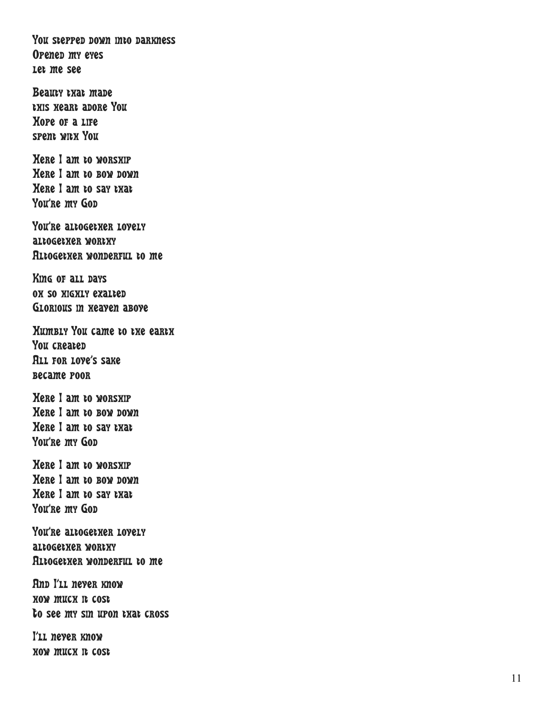You stepped down into darkness Opened my eyes let me see

Beauty that mape this heart adore You Hope of a life spent with You

Here I am to worship Here I am to bow down Here I am to say that You're my God

You're altogether lovely altogether worthy Altogether wonderful to me

King of all days oh so highly exalted Glorious in heaven above

Humbly You came to the earth You created All for love's sake became poor

Here I am to worship Here I am to bow down Here I am to say that You're my God

Here I am to worship Here I am to bow down Here I am to say that You're my God

You're altogether lovely altogether worthy Altogether wonderful to me

And I'll never know how much it cost To see my sin upon that cross

I'll never know how much it cost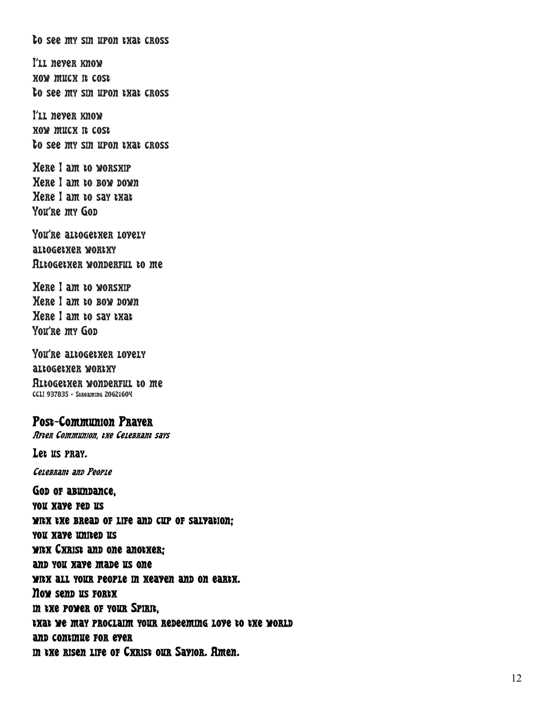to see my sin upon that cross

I'll never know how much it cost to see my sin upon that cross

I'll never know how much it cost to see my sin upon that cross

Here I am to worship Here I am to bow down Here I am to say that You're my God

You're altogether Loyely altogether worthy Altogether wonderful to me

Here I am to worship Here I am to bow down Here I am to say that You're my God

You're altogether lovely altogether worthy Altogether wonderful to me CCLI 937835 + Streaming 20621604

### Post-Communion Prayer

After Communion, the Celebrant says

Let us **PRay**.

Celebrant and People

God of abundance, you have fed us with the bread of life and cup of salvation; you have united us with Christ and one another: and you have made us one with all your people in heaven and on earth. Now send us forth in the power of your Spirit, that we may proclaim your redeeming love to the world and continue for ever in the risen life of Christ our Savior. Amen.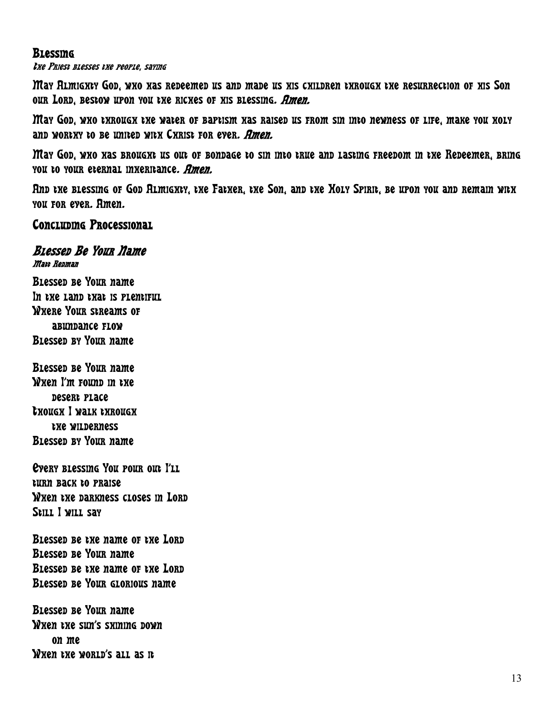### Blessing

the Priest blesses the people, saying

May RLMIGXEY GOD, WHO HAS REDEEMED US and made us his children EXROUGH ENE RESURRECTION OF HIS SON our Lord, bestow upon you the riches of his blessing. Amen.

May God, who through the water of baptism has raised us from sin into newness of life, make you holy and worthy to be united with Christ for ever. Amen.

May God, who has brought us out of bondage to sin into true and lasting freedom in the Redeemer, bring you to your eternal inxeritance. Amen.

And the blessing of God Almighty, the Father, the Son, and the Holy Spirit, be upon you and remain with you for ever. Amen.

### Concluding Processional

#### Blessed Be Your Name Matt Redman

Blessed be Your name In the land that is plentiful WHERE YOUR SEREAMS OF abundance flow Blessed by Your name

Blessed be Your name When I'm found in the desert place LYOUGY I WALK EXROUGH the wilderness Blessed by Your name

Every blessing You pour out I'll turn back to praise When the darkness closes in Lord SEILL I WILL SAY

Blessed be the name of the Lord Blessed be Your name Blessed be the name of the Lord Blessed be Your glorious name

Blessed be Your name When the sun's shining down on me When the world's all as it